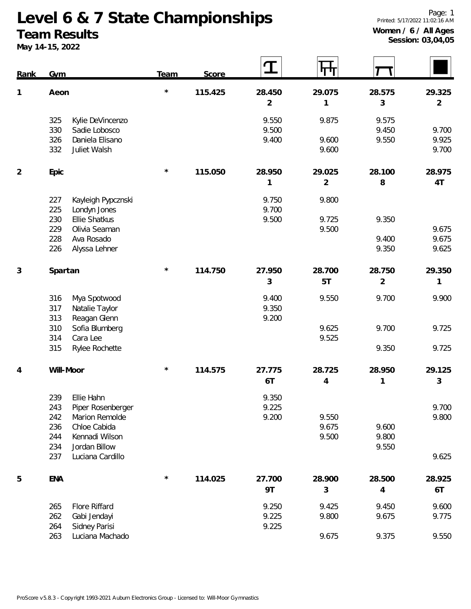#### **Team Results**

**May 14-15, 2022**

| <b>Rank</b>    | <b>Gym</b> |                                    | <b>Team</b> | Score   |                | ╓╖             |                |                |
|----------------|------------|------------------------------------|-------------|---------|----------------|----------------|----------------|----------------|
| $\mathbf{1}$   | Aeon       |                                    | $\star$     | 115.425 | 28.450         | 29.075         | 28.575         | 29.325         |
|                |            |                                    |             |         | $\overline{2}$ | 1              | 3              | 2              |
|                | 325        | Kylie DeVincenzo                   |             |         | 9.550          | 9.875          | 9.575          |                |
|                | 330        | Sadie Lobosco                      |             |         | 9.500          |                | 9.450          | 9.700          |
|                | 326<br>332 | Daniela Elisano<br>Juliet Walsh    |             |         | 9.400          | 9.600<br>9.600 | 9.550          | 9.925<br>9.700 |
| $\overline{2}$ | Epic       |                                    | $^\star$    | 115.050 | 28.950         | 29.025         | 28.100         | 28.975         |
|                |            |                                    |             |         | 1              | $\overline{2}$ | 8              | 4T             |
|                | 227<br>225 | Kayleigh Pypcznski<br>Londyn Jones |             |         | 9.750<br>9.700 | 9.800          |                |                |
|                | 230        | <b>Ellie Shatkus</b>               |             |         | 9.500          | 9.725          | 9.350          |                |
|                | 229        | Olivia Seaman                      |             |         |                | 9.500          |                | 9.675          |
|                | 228<br>226 | Ava Rosado<br>Alyssa Lehner        |             |         |                |                | 9.400<br>9.350 | 9.675<br>9.625 |
|                |            |                                    |             |         |                |                |                |                |
| $\sqrt{3}$     | Spartan    |                                    | $^{\star}$  | 114.750 | 27.950         | 28.700         | 28.750         | 29.350         |
|                |            |                                    |             |         | 3              | 5T             | $\overline{2}$ | 1              |
|                | 316        | Mya Spotwood                       |             |         | 9.400          | 9.550          | 9.700          | 9.900          |
|                | 317        | Natalie Taylor                     |             |         | 9.350          |                |                |                |
|                | 313<br>310 | Reagan Glenn<br>Sofia Blumberg     |             |         | 9.200          | 9.625          | 9.700          | 9.725          |
|                | 314        | Cara Lee                           |             |         |                | 9.525          |                |                |
|                | 315        | Rylee Rochette                     |             |         |                |                | 9.350          | 9.725          |
| 4              |            | Will-Moor                          | $^{\star}$  | 114.575 | 27.775         | 28.725         | 28.950         | 29.125         |
|                |            |                                    |             |         | 6T             | $\overline{4}$ | 1              | 3              |
|                | 239        | Ellie Hahn                         |             |         | 9.350          |                |                |                |
|                | 243        | Piper Rosenberger                  |             |         | 9.225          |                |                | 9.700          |
|                | 242<br>236 | Marion Remolde<br>Chloe Cabida     |             |         | 9.200          | 9.550<br>9.675 | 9.600          | 9.800          |
|                | 244        | Kennadi Wilson                     |             |         |                | 9.500          | 9.800          |                |
|                | 234        | Jordan Billow                      |             |         |                |                | 9.550          |                |
|                | 237        | Luciana Cardillo                   |             |         |                |                |                | 9.625          |
| 5              | <b>ENA</b> |                                    | $\star$     | 114.025 | 27.700         | 28.900         | 28.500         | 28.925         |
|                |            |                                    |             |         | 9T             | 3              | 4              | 6T             |
|                | 265        | Flore Riffard                      |             |         | 9.250          | 9.425          | 9.450          | 9.600          |
|                | 262        | Gabi Jendayi                       |             |         | 9.225          | 9.800          | 9.675          | 9.775          |
|                | 264<br>263 | Sidney Parisi<br>Luciana Machado   |             |         | 9.225          | 9.675          | 9.375          | 9.550          |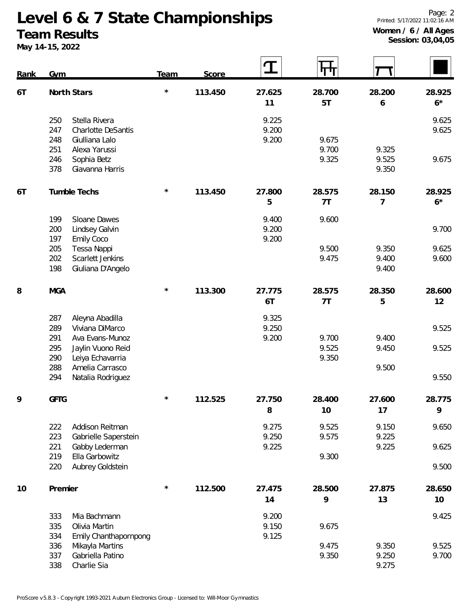# **Team Results**

**May 14-15, 2022**

**Session: 03,04,05**

| <b>Rank</b> | <b>Gym</b>                                                                                              | <b>Team</b> | Score   |                         | गा                      |                          |                |
|-------------|---------------------------------------------------------------------------------------------------------|-------------|---------|-------------------------|-------------------------|--------------------------|----------------|
| 6T          | North Stars                                                                                             | $\star$     | 113.450 | 27.625<br>11            | 28.700<br>5T            | 28.200<br>6              | 28.925<br>$6*$ |
|             | Stella Rivera<br>250<br>247<br><b>Charlotte DeSantis</b><br>248<br>Giulliana Lalo                       |             |         | 9.225<br>9.200<br>9.200 | 9.675                   |                          | 9.625<br>9.625 |
|             | 251<br>Alexa Yarussi<br>246<br>Sophia Betz<br>Giavanna Harris<br>378                                    |             |         |                         | 9.700<br>9.325          | 9.325<br>9.525<br>9.350  | 9.675          |
| 6T          | Tumble Techs                                                                                            | $^{\star}$  | 113.450 | 27.800<br>5             | 28.575<br>7T            | 28.150<br>$\overline{7}$ | 28.925<br>$6*$ |
|             | Sloane Dawes<br>199<br>200<br>Lindsey Galvin<br><b>Emily Coco</b><br>197                                |             |         | 9.400<br>9.200<br>9.200 | 9.600                   |                          | 9.700          |
|             | 205<br>Tessa Nappi<br>202<br>Scarlett Jenkins<br>198<br>Giuliana D'Angelo                               |             |         |                         | 9.500<br>9.475          | 9.350<br>9.400<br>9.400  | 9.625<br>9.600 |
| 8           | <b>MGA</b>                                                                                              | $^\star$    | 113.300 | 27.775<br>6T            | 28.575<br>7T            | 28.350<br>5              | 28.600<br>12   |
|             | 287<br>Aleyna Abadilla<br>289<br>Viviana DiMarco                                                        |             |         | 9.325<br>9.250          |                         |                          | 9.525          |
|             | 291<br>Ava Evans-Munoz<br>295<br>Jaylin Vuono Reid<br>290<br>Leiya Echavarria<br>288<br>Amelia Carrasco |             |         | 9.200                   | 9.700<br>9.525<br>9.350 | 9.400<br>9.450<br>9.500  | 9.525          |
|             | 294<br>Natalia Rodriguez                                                                                |             |         |                         |                         |                          | 9.550          |
| 9           | <b>GFTG</b>                                                                                             |             | 112.525 | 27.750<br>8             | 28.400<br>10            | 27.600<br>17             | 28.775<br>9    |
|             | 222<br>Addison Reitman<br>223<br>Gabrielle Saperstein                                                   |             |         | 9.275<br>9.250          | 9.525<br>9.575          | 9.150<br>9.225           | 9.650          |
|             | 221<br>Gabby Lederman<br>Ella Garbowitz<br>219                                                          |             |         | 9.225                   | 9.300                   | 9.225                    | 9.625          |
|             | Aubrey Goldstein<br>220                                                                                 |             |         |                         |                         |                          | 9.500          |
| 10          | Premier                                                                                                 | $^{\star}$  | 112.500 | 27.475<br>14            | 28.500<br>9             | 27.875<br>13             | 28.650<br>10   |
|             | 333<br>Mia Bachmann<br>335<br>Olivia Martin<br>334<br>Emily Chanthapornpong                             |             |         | 9.200<br>9.150<br>9.125 | 9.675                   |                          | 9.425          |
|             | 336<br>Mikayla Martins<br>Gabriella Patino<br>337<br>Charlie Sia<br>338                                 |             |         |                         | 9.475<br>9.350          | 9.350<br>9.250<br>9.275  | 9.525<br>9.700 |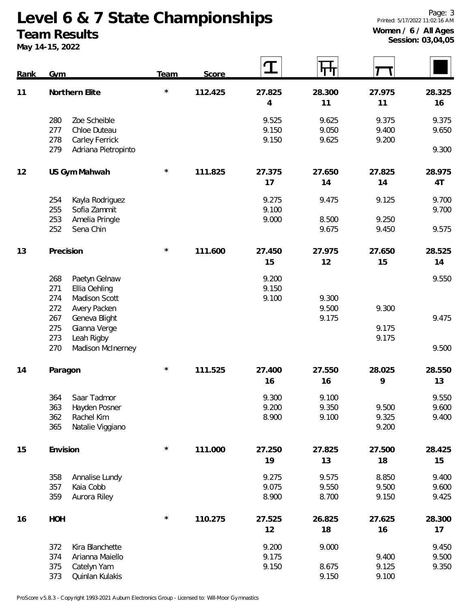# **Team Results**

**May 14-15, 2022**

 $|\bm{\tau}|$ 

 $|\mathsf{H}|$ 

 $\mathbf T$ 

| <u>Rank</u> | Gym            |                     | <b>Team</b> | Score   |        | 71 F.I | x      |        |
|-------------|----------------|---------------------|-------------|---------|--------|--------|--------|--------|
| 11          | Northern Elite |                     | $\star$     | 112.425 | 27.825 | 28.300 | 27.975 | 28.325 |
|             |                |                     |             |         | 4      | 11     | 11     | 16     |
|             | 280            | Zoe Scheible        |             |         | 9.525  | 9.625  | 9.375  | 9.375  |
|             | 277            | Chloe Duteau        |             |         | 9.150  | 9.050  | 9.400  | 9.650  |
|             | 278            | Carley Ferrick      |             |         | 9.150  | 9.625  | 9.200  |        |
|             | 279            | Adriana Pietropinto |             |         |        |        |        | 9.300  |
| 12          |                | US Gym Mahwah       | $\star$     | 111.825 | 27.375 | 27.650 | 27.825 | 28.975 |
|             |                |                     |             |         | 17     | 14     | 14     | 4T     |
|             | 254            | Kayla Rodriguez     |             |         | 9.275  | 9.475  | 9.125  | 9.700  |
|             | 255            | Sofia Zammit        |             |         | 9.100  |        |        | 9.700  |
|             | 253            | Amelia Pringle      |             |         | 9.000  | 8.500  | 9.250  |        |
|             | 252            | Sena Chin           |             |         |        | 9.675  | 9.450  | 9.575  |
| 13          | Precision      |                     | $\star$     | 111.600 | 27.450 | 27.975 | 27.650 | 28.525 |
|             |                |                     |             |         | 15     | 12     | 15     | 14     |
|             | 268            | Paetyn Gelnaw       |             |         | 9.200  |        |        | 9.550  |
|             | 271            | Ellia Oehling       |             |         | 9.150  |        |        |        |
|             | 274            | Madison Scott       |             |         | 9.100  | 9.300  |        |        |
|             | 272            | Avery Packen        |             |         |        | 9.500  | 9.300  |        |
|             | 267            | Geneva Blight       |             |         |        | 9.175  |        | 9.475  |
|             | 275            | Gianna Verge        |             |         |        |        | 9.175  |        |
|             | 273            | Leah Rigby          |             |         |        |        | 9.175  |        |
|             | 270            | Madison McInerney   |             |         |        |        |        | 9.500  |
| 14          | Paragon        |                     | $\star$     | 111.525 | 27.400 | 27.550 | 28.025 | 28.550 |
|             |                |                     |             |         | 16     | 16     | 9      | 13     |
|             | 364            | Saar Tadmor         |             |         | 9.300  | 9.100  |        | 9.550  |
|             | 363            | Hayden Posner       |             |         | 9.200  | 9.350  | 9.500  | 9.600  |
|             | 362            | Rachel Kim          |             |         | 8.900  | 9.100  | 9.325  | 9.400  |
|             | 365            | Natalie Viggiano    |             |         |        |        | 9.200  |        |
| 15          | Envision       |                     | $\star$     | 111.000 | 27.250 | 27.825 | 27.500 | 28.425 |
|             |                |                     |             |         | 19     | 13     | 18     | 15     |
|             | 358            | Annalise Lundy      |             |         | 9.275  | 9.575  | 8.850  | 9.400  |
|             | 357            | Kaia Cobb           |             |         | 9.075  | 9.550  | 9.500  | 9.600  |
|             | 359            | Aurora Riley        |             |         | 8.900  | 8.700  | 9.150  | 9.425  |
| 16          | <b>HOH</b>     |                     | $\star$     | 110.275 | 27.525 | 26.825 | 27.625 | 28.300 |
|             |                |                     |             |         | 12     | 18     | 16     | 17     |
|             | 372            | Kira Blanchette     |             |         | 9.200  | 9.000  |        | 9.450  |
|             | 374            | Arianna Maiello     |             |         | 9.175  |        | 9.400  | 9.500  |
|             | 375            | Catelyn Yam         |             |         | 9.150  | 8.675  | 9.125  | 9.350  |
|             | 373            | Quinlan Kulakis     |             |         |        | 9.150  | 9.100  |        |

ProScore v5.8.3 - Copyright 1993-2021 Auburn Electronics Group - Licensed to: Will-Moor Gymnastics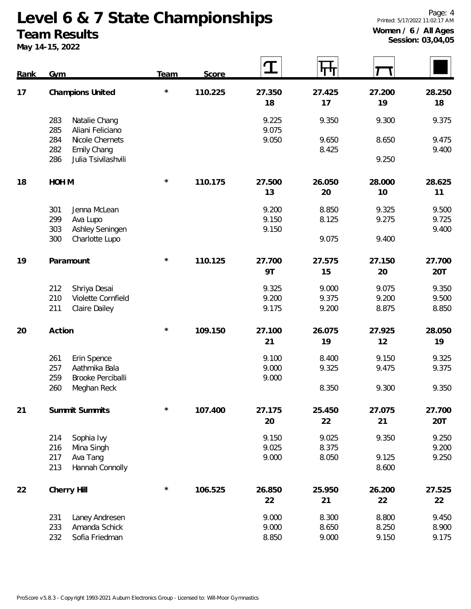# **Team Results**

**May 14-15, 2022**

| Rank | Gym              |                                    | Team       | Score   | $\bf{T}$       | प्राप्त        |        |                |
|------|------------------|------------------------------------|------------|---------|----------------|----------------|--------|----------------|
| 17   | Champions United |                                    | $\star$    | 110.225 | 27.350         | 27.425         | 27.200 | 28.250         |
|      |                  |                                    |            |         | 18             | 17             | 19     | 18             |
|      | 283<br>285       | Natalie Chang<br>Aliani Feliciano  |            |         | 9.225<br>9.075 | 9.350          | 9.300  | 9.375          |
|      | 284              | Nicole Chernets                    |            |         | 9.050          | 9.650          | 8.650  | 9.475          |
|      | 282<br>286       | Emily Chang<br>Julia Tsivilashvili |            |         |                | 8.425          | 9.250  | 9.400          |
| 18   | HOH M            |                                    | $\star$    | 110.175 | 27.500         | 26.050         | 28.000 | 28.625         |
|      |                  |                                    |            |         | 13             | 20             | 10     | 11             |
|      | 301              | Jenna McLean                       |            |         | 9.200          | 8.850          | 9.325  | 9.500          |
|      | 299              | Ava Lupo                           |            |         | 9.150          | 8.125          | 9.275  | 9.725          |
|      | 303<br>300       | Ashley Seningen<br>Charlotte Lupo  |            |         | 9.150          | 9.075          | 9.400  | 9.400          |
| 19   | Paramount        |                                    | $^\star$   | 110.125 | 27.700         | 27.575         | 27.150 | 27.700         |
|      |                  |                                    |            |         | 9T             | 15             | 20     | 20T            |
|      | 212              | Shriya Desai                       |            |         | 9.325          | 9.000          | 9.075  | 9.350          |
|      | 210              | Violette Cornfield                 |            |         | 9.200          | 9.375          | 9.200  | 9.500          |
|      | 211              | Claire Dailey                      |            |         | 9.175          | 9.200          | 8.875  | 8.850          |
| 20   | Action           |                                    | $^{\star}$ | 109.150 | 27.100         | 26.075         | 27.925 | 28.050         |
|      |                  |                                    |            |         | 21             | 19             | 12     | 19             |
|      | 261              | Erin Spence                        |            |         | 9.100          | 8.400          | 9.150  | 9.325          |
|      | 257<br>259       | Aathmika Bala<br>Brooke Perciballi |            |         | 9.000<br>9.000 | 9.325          | 9.475  | 9.375          |
|      | 260              | Meghan Reck                        |            |         |                | 8.350          | 9.300  | 9.350          |
| 21   | Summit Summits   |                                    | $\star$    | 107.400 | 27.175         | 25.450         | 27.075 | 27.700         |
|      |                  |                                    |            |         | 20             | 22             | 21     | 20T            |
|      | 214              | Sophia Ivy                         |            |         | 9.150          | 9.025          | 9.350  | 9.250          |
|      | 216<br>217       | Mina Singh<br>Ava Tang             |            |         | 9.025<br>9.000 | 8.375<br>8.050 | 9.125  | 9.200<br>9.250 |
|      | 213              | Hannah Connolly                    |            |         |                |                | 8.600  |                |
| 22   | Cherry Hill      |                                    | $\star$    | 106.525 | 26.850         | 25.950         | 26.200 | 27.525         |
|      |                  |                                    |            |         | 22             | 21             | 22     | 22             |
|      | 231              | Laney Andresen                     |            |         | 9.000          | 8.300          | 8.800  | 9.450          |
|      | 233              | Amanda Schick                      |            |         | 9.000          | 8.650          | 8.250  | 8.900          |

Sofia Friedman 8.850 9.000 9.150 9.175